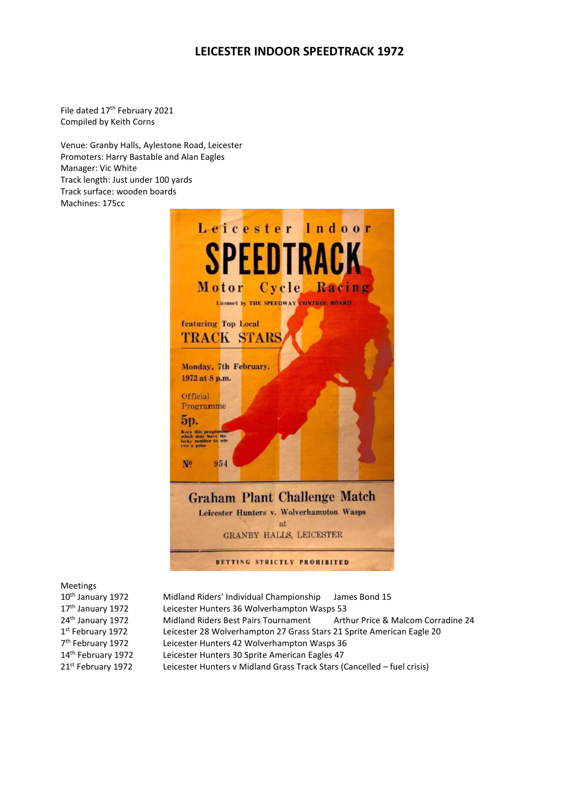# **LEICESTER INDOOR SPEEDTRACK 1972**

File dated 17<sup>th</sup> February 2021 Compiled by Keith Corns

Venue: Granby Halls, Aylestone Road, Leicester Promoters: Harry Bastable and Alan Eagles Manager: Vic White Track length: Just under 100 yards Track surface: wooden boards Machines: 175cc



Meetings

10<sup>th</sup> January 1972 Midland Riders' Individual Championship James Bond 15 17<sup>th</sup> January 1972 Leicester Hunters 36 Wolverhampton Wasps 53 24<sup>th</sup> January 1972 Midland Riders Best Pairs Tournament Arthur Price & Malcom Corradine 24 1st February 1972 Leicester 28 Wolverhampton 27 Grass Stars 21 Sprite American Eagle 20 7<sup>th</sup> February 1972 Leicester Hunters 42 Wolverhampton Wasps 36 14<sup>th</sup> February 1972 Leicester Hunters 30 Sprite American Eagles 47<br>21<sup>st</sup> February 1972 Leicester Hunters v Midland Grass Track Stars ( Leicester Hunters v Midland Grass Track Stars (Cancelled – fuel crisis)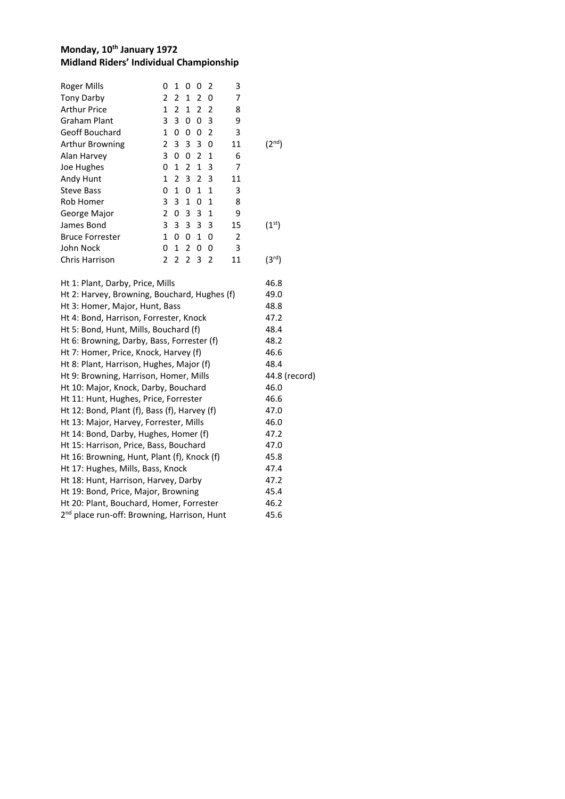### **Monday, 10 th January 1972 Midland Riders' Individual Championship**

| <b>Roger Mills</b>                                      | 0                       | 1              |                | 00             | 2              | 3              |                    |
|---------------------------------------------------------|-------------------------|----------------|----------------|----------------|----------------|----------------|--------------------|
| <b>Tony Darby</b>                                       | 2                       | $\overline{2}$ | $\mathbf{1}$   | $\overline{2}$ | 0              | 7              |                    |
| <b>Arthur Price</b>                                     | $\mathbf 1$             | $\overline{2}$ | $\mathbf{1}$   | $\overline{2}$ | $\overline{2}$ | 8              |                    |
| Graham Plant                                            | 3                       | 3              | 0              | 0              | 3              | 9              |                    |
| Geoff Bouchard                                          | $\mathbf{1}$            | 0              | 0              | 0              | $\overline{2}$ | 3              |                    |
| Arthur Browning                                         | $\overline{\mathbf{c}}$ | 3              | 3              | 3              | 0              | 11             | (2 <sup>nd</sup> ) |
| Alan Harvey                                             | 3                       | 0              | 0              | 2              | $\mathbf{1}$   | 6              |                    |
| Joe Hughes                                              | 0                       | $\mathbf{1}$   | $\overline{2}$ | $\mathbf{1}$   | 3              | 7              |                    |
| Andy Hunt                                               | $\mathbf{1}$            | $\overline{2}$ | 3              | $\overline{2}$ | 3              | 11             |                    |
| <b>Steve Bass</b>                                       | 0                       | $\mathbf{1}$   | 0              | $\mathbf{1}$   | $\mathbf{1}$   | 3              |                    |
| Rob Homer                                               | 3                       | 3              | $\mathbf{1}$   | 0              | $\mathbf{1}$   | 8              |                    |
| George Major                                            | $\overline{2}$          | 0              | 3              | 3              | $\mathbf 1$    | 9              |                    |
| James Bond                                              | 3                       | 3              | 3              | 3              | 3              | 15             | (1 <sup>st</sup> ) |
| <b>Bruce Forrester</b>                                  | $\mathbf{1}$            | 0              | 0              | $\mathbf{1}$   | 0              | $\overline{2}$ |                    |
| John Nock                                               | 0                       | $\mathbf{1}$   | $\overline{2}$ | 0              | 0              | 3              |                    |
| Chris Harrison                                          | $\overline{2}$          | $\overline{2}$ | $\overline{2}$ | 3              | $\overline{2}$ | 11             | (3 <sup>rd</sup> ) |
| Ht 1: Plant, Darby, Price, Mills                        |                         |                |                |                |                |                | 46.8               |
| Ht 2: Harvey, Browning, Bouchard, Hughes (f)            |                         |                |                |                |                |                | 49.0               |
| Ht 3: Homer, Major, Hunt, Bass                          |                         |                |                |                |                |                | 48.8               |
| Ht 4: Bond, Harrison, Forrester, Knock                  |                         |                |                |                |                |                | 47.2               |
| Ht 5: Bond, Hunt, Mills, Bouchard (f)                   |                         |                |                |                |                |                | 48.4               |
| Ht 6: Browning, Darby, Bass, Forrester (f)              |                         |                |                |                |                |                | 48.2               |
| Ht 7: Homer, Price, Knock, Harvey (f)                   |                         |                |                |                |                |                | 46.6               |
| Ht 8: Plant, Harrison, Hughes, Major (f)                |                         |                |                |                |                |                | 48.4               |
| Ht 9: Browning, Harrison, Homer, Mills                  |                         |                |                |                |                |                | 44.8 (record)      |
| Ht 10: Major, Knock, Darby, Bouchard                    |                         |                |                |                |                |                | 46.0               |
| Ht 11: Hunt, Hughes, Price, Forrester                   |                         |                |                |                |                |                | 46.6               |
| Ht 12: Bond, Plant (f), Bass (f), Harvey (f)            |                         |                |                |                |                |                | 47.0               |
| Ht 13: Major, Harvey, Forrester, Mills                  |                         |                |                |                |                |                | 46.0               |
| Ht 14: Bond, Darby, Hughes, Homer (f)                   |                         |                |                |                |                |                | 47.2               |
| Ht 15: Harrison, Price, Bass, Bouchard                  |                         |                |                |                |                |                | 47.0               |
| Ht 16: Browning, Hunt, Plant (f), Knock (f)             |                         |                |                |                |                |                | 45.8               |
| Ht 17: Hughes, Mills, Bass, Knock                       |                         |                |                |                |                |                | 47.4               |
| Ht 18: Hunt, Harrison, Harvey, Darby                    |                         |                |                |                |                |                | 47.2               |
| Ht 19: Bond, Price, Major, Browning                     |                         |                |                |                |                |                | 45.4               |
| Ht 20: Plant, Bouchard, Homer, Forrester                |                         |                |                |                |                |                | 46.2               |
| 2 <sup>nd</sup> place run-off: Browning, Harrison, Hunt |                         |                |                |                |                |                | 45.6               |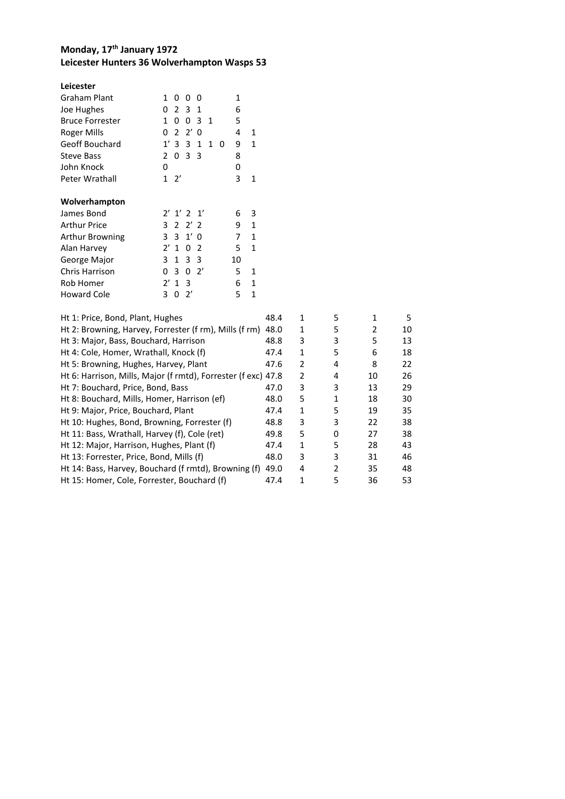### **Monday, 17 th January 1972 Leicester Hunters 36 Wolverhampton Wasps 53**

#### **Leicester**

| Graham Plant           | 1              | ŋ             | 0            | 0            |                |   | 1  |   |
|------------------------|----------------|---------------|--------------|--------------|----------------|---|----|---|
| Joe Hughes             | 0              | 2             | 3            | 1            |                |   | 6  |   |
| <b>Bruce Forrester</b> | 1              | 0             | 0            | 3            | $\overline{1}$ |   | 5  |   |
| Roger Mills            | 0              | $\mathcal{P}$ | $2^{\prime}$ | 0            |                |   | 4  | 1 |
| Geoff Bouchard         | 1'             | 3             | 3            | 1            | 1              | ŋ | 9  | 1 |
| <b>Steve Bass</b>      | $\mathcal{P}$  | 0             | 3            | 3            |                |   | 8  |   |
| John Knock             | 0              |               |              |              |                |   | 0  |   |
| Peter Wrathall         | 1              | 2'            |              |              |                |   | 3  | 1 |
|                        |                |               |              |              |                |   |    |   |
|                        |                |               |              |              |                |   |    |   |
| Wolverhampton          |                |               |              |              |                |   |    |   |
| James Bond             |                | 2' 1' 2' 1'   |              |              |                |   | 6  | 3 |
| Arthur Price           | 3              |               | 2, 2, 2      |              |                |   | 9  | 1 |
| Arthur Browning        | 3              | 3             | $1'$ 0       |              |                |   | 7  | 1 |
| Alan Harvey            | $2^{\prime}$   | 1             | 0            | 2            |                |   | 5  | 1 |
| George Major           | 3              | 1             | 3            | 3            |                |   | 10 |   |
| Chris Harrison         | 0              | 3             | 0            | $2^{\prime}$ |                |   | 5  | 1 |
| Rob Homer              | $\mathcal{V}'$ | 1             | 3            |              |                |   | 6  | 1 |

| Ht 1: Price, Bond, Plant, Hughes                              | 48.4 | 1             | 5             |    | 5  |
|---------------------------------------------------------------|------|---------------|---------------|----|----|
| Ht 2: Browning, Harvey, Forrester (f rm), Mills (f rm)        | 48.0 | 1             | 5             | 2  | 10 |
| Ht 3: Major, Bass, Bouchard, Harrison                         | 48.8 | 3             | 3             | 5  | 13 |
| Ht 4: Cole, Homer, Wrathall, Knock (f)                        | 47.4 | 1             | 5             | 6  | 18 |
| Ht 5: Browning, Hughes, Harvey, Plant                         | 47.6 | $\mathcal{P}$ | 4             | 8  | 22 |
| Ht 6: Harrison, Mills, Major (f rmtd), Forrester (f exc) 47.8 |      | $\mathcal{P}$ | 4             | 10 | 26 |
| Ht 7: Bouchard, Price, Bond, Bass                             | 47.0 | 3             | 3             | 13 | 29 |
| Ht 8: Bouchard, Mills, Homer, Harrison (ef)                   | 48.0 | 5             | 1             | 18 | 30 |
| Ht 9: Major, Price, Bouchard, Plant                           | 47.4 | 1             | 5             | 19 | 35 |
| Ht 10: Hughes, Bond, Browning, Forrester (f)                  | 48.8 | 3             | 3             | 22 | 38 |
| Ht 11: Bass, Wrathall, Harvey (f), Cole (ret)                 | 49.8 | 5             | 0             | 27 | 38 |
| Ht 12: Major, Harrison, Hughes, Plant (f)                     | 47.4 | 1             | 5             | 28 | 43 |
| Ht 13: Forrester, Price, Bond, Mills (f)                      | 48.0 | 3             | 3             | 31 | 46 |
| Ht 14: Bass, Harvey, Bouchard (f rmtd), Browning (f)          | 49.0 | 4             | $\mathcal{P}$ | 35 | 48 |
| Ht 15: Homer, Cole, Forrester, Bouchard (f)                   | 47.4 |               | 5             | 36 | 53 |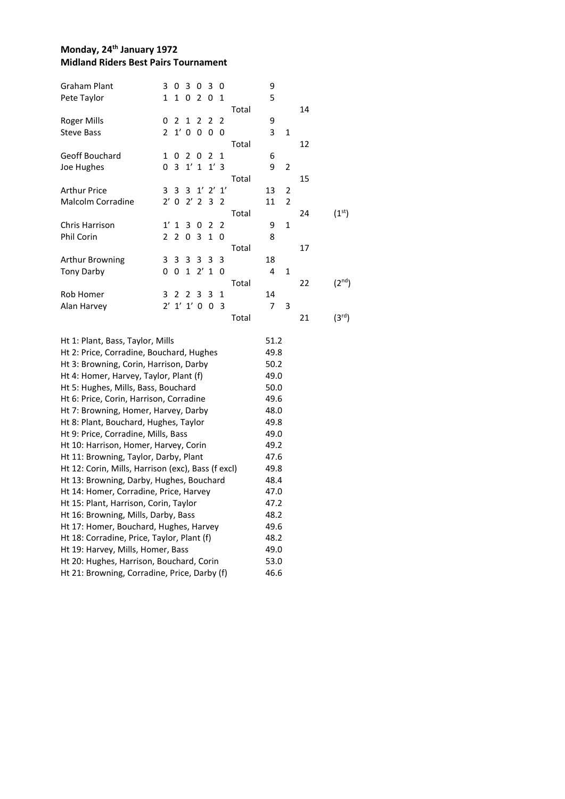### **Monday, 24th January 1972 Midland Riders Best Pairs Tournament**

| <b>Graham Plant</b>                                | 3            | 0      | 3              | 0              | 3            | 0  |       | 9    |                |    |                    |
|----------------------------------------------------|--------------|--------|----------------|----------------|--------------|----|-------|------|----------------|----|--------------------|
| Pete Taylor                                        | 1            | 1      | 0              | 2              | 0            | 1  |       | 5    |                |    |                    |
|                                                    |              |        |                |                |              |    | Total |      |                | 14 |                    |
| Roger Mills                                        | 0            | 2      | 1              | $\overline{2}$ | 2            | 2  |       | 9    |                |    |                    |
| <b>Steve Bass</b>                                  | 2            |        | $1'$ 0         | 0              | 0            | 0  |       | 3    | 1              |    |                    |
|                                                    |              |        |                |                |              |    | Total |      |                | 12 |                    |
| Geoff Bouchard                                     | 1            | 0      | $\overline{2}$ | 0              | 2            | 1  |       | 6    |                |    |                    |
| Joe Hughes                                         | 0            | 3      |                | $1'$ 1         | 1'3          |    |       | 9    | 2              |    |                    |
|                                                    |              |        |                |                |              |    | Total |      |                | 15 |                    |
| <b>Arthur Price</b>                                | 3            | 3      | 3              |                | $1'$ $2'$    | 1' |       | 13   | 2              |    |                    |
| <b>Malcolm Corradine</b>                           |              | $2'$ 0 | $2^{\prime}$   | $\overline{2}$ | 3            | 2  |       | 11   | $\overline{2}$ |    |                    |
|                                                    |              |        |                |                |              |    | Total |      |                | 24 | (1 <sup>st</sup> ) |
| Chris Harrison                                     | 1'           | 1      | 3              | 0              | 2            | 2  |       | 9    | 1              |    |                    |
| Phil Corin                                         | 2            | 2      | 0              | 3              | $\mathbf{1}$ | 0  |       | 8    |                |    |                    |
|                                                    |              |        |                |                |              |    | Total |      |                | 17 |                    |
| Arthur Browning                                    | 3            | 3      | 3              | 3              | 3            | 3  |       | 18   |                |    |                    |
| <b>Tony Darby</b>                                  | 0            | 0      | $\mathbf{1}$   | $2^{\prime}$   | 1            | 0  |       | 4    | $\mathbf 1$    |    |                    |
|                                                    |              |        |                |                |              |    | Total |      |                | 22 | $(2^{nd})$         |
| Rob Homer                                          | 3            | 2      | 2              | 3              | 3            | 1  |       | 14   |                |    |                    |
| Alan Harvey                                        | $2^{\prime}$ |        | $1'$ $1'$ $0$  |                | 0            | 3  |       | 7    | 3              |    |                    |
|                                                    |              |        |                |                |              |    | Total |      |                | 21 | (3 <sup>rd</sup> ) |
| Ht 1: Plant, Bass, Taylor, Mills                   |              |        |                |                |              |    |       | 51.2 |                |    |                    |
| Ht 2: Price, Corradine, Bouchard, Hughes           |              |        |                |                |              |    |       | 49.8 |                |    |                    |
| Ht 3: Browning, Corin, Harrison, Darby             |              |        |                |                |              |    |       | 50.2 |                |    |                    |
| Ht 4: Homer, Harvey, Taylor, Plant (f)             |              |        |                |                |              |    |       | 49.0 |                |    |                    |
| Ht 5: Hughes, Mills, Bass, Bouchard                |              |        |                |                |              |    |       | 50.0 |                |    |                    |
| Ht 6: Price, Corin, Harrison, Corradine            |              |        |                |                |              |    |       | 49.6 |                |    |                    |
| Ht 7: Browning, Homer, Harvey, Darby               |              |        |                |                |              |    |       | 48.0 |                |    |                    |
| Ht 8: Plant, Bouchard, Hughes, Taylor              |              |        |                |                |              |    |       | 49.8 |                |    |                    |
| Ht 9: Price, Corradine, Mills, Bass                |              |        |                |                |              |    |       | 49.0 |                |    |                    |
| Ht 10: Harrison, Homer, Harvey, Corin              |              |        |                |                |              |    |       | 49.2 |                |    |                    |
| Ht 11: Browning, Taylor, Darby, Plant              |              |        |                |                |              |    |       | 47.6 |                |    |                    |
| Ht 12: Corin, Mills, Harrison (exc), Bass (f excl) |              |        |                |                |              |    |       | 49.8 |                |    |                    |
| Ht 13: Browning, Darby, Hughes, Bouchard           |              |        |                |                |              |    |       | 48.4 |                |    |                    |
| Ht 14: Homer, Corradine, Price, Harvey             |              |        |                |                |              |    |       | 47.0 |                |    |                    |
| Ht 15: Plant, Harrison, Corin, Taylor              |              |        |                |                |              |    |       | 47.2 |                |    |                    |
| Ht 16: Browning, Mills, Darby, Bass                |              |        |                |                |              |    |       | 48.2 |                |    |                    |
| Ht 17: Homer, Bouchard, Hughes, Harvey             |              |        |                |                |              |    |       | 49.6 |                |    |                    |
| Ht 18: Corradine, Price, Taylor, Plant (f)         |              |        |                |                |              |    |       | 48.2 |                |    |                    |
| Ht 19: Harvey, Mills, Homer, Bass                  |              |        |                |                |              |    |       | 49.0 |                |    |                    |
| Ht 20: Hughes, Harrison, Bouchard, Corin           |              |        |                |                |              |    |       | 53.0 |                |    |                    |
| Ht 21: Browning, Corradine, Price, Darby (f)       |              |        |                |                |              |    |       | 46.6 |                |    |                    |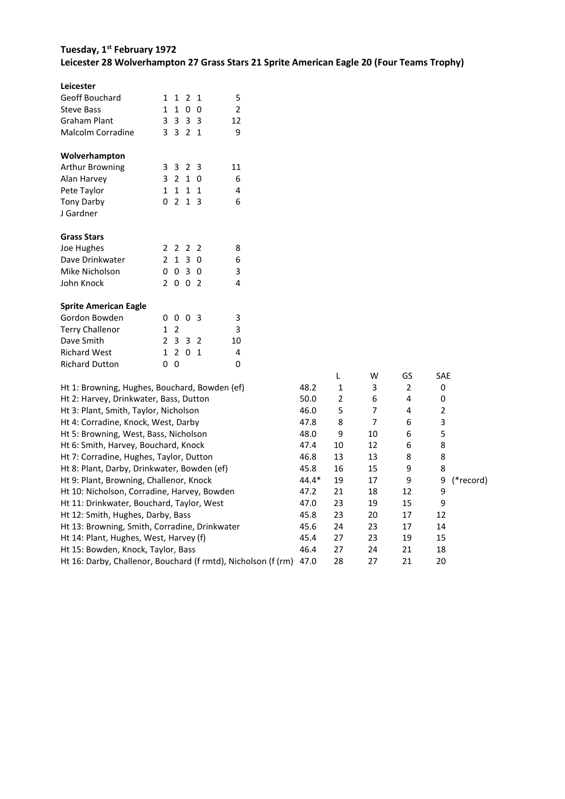## **Tuesday, 1 st February 1972 Leicester 28 Wolverhampton 27 Grass Stars 21 Sprite American Eagle 20 (Four Teams Trophy)**

| Leicester                                     |                |                |                |                |                |
|-----------------------------------------------|----------------|----------------|----------------|----------------|----------------|
| Geoff Bouchard                                | 1              | 1              |                | 2 <sub>1</sub> | 5              |
| <b>Steve Bass</b>                             |                |                | 1 1 0          | 0              | $\overline{2}$ |
| <b>Graham Plant</b>                           |                |                | 3 3 3 3        |                | 12             |
| Malcolm Corradine                             |                |                | 3 3 2 1        |                | 9              |
| Wolverhampton                                 |                |                |                |                |                |
| <b>Arthur Browning</b>                        |                |                | 3 3 2 3        |                | 11             |
| Alan Harvey                                   |                |                | 3 2 1 0        |                | 6              |
| Pete Taylor                                   |                | $1 \quad 1$    |                | $1\quad1$      | 4              |
| <b>Tony Darby</b>                             | $\Omega$       | 2              | 1              | 3              | 6              |
| J Gardner                                     |                |                |                |                |                |
| <b>Grass Stars</b>                            |                |                |                |                |                |
| Joe Hughes                                    |                | 2 2            | 2 <sub>2</sub> |                | 8              |
| Dave Drinkwater                               |                |                | $2 \t1 \t3$    | 0              | 6              |
| Mike Nicholson                                | 0              |                | $03$ 0         |                | 3              |
| John Knock                                    | $\overline{2}$ |                | 0 0 2          |                | 4              |
| <b>Sprite American Eagle</b>                  |                |                |                |                |                |
| Gordon Bowden                                 | 0              | 0              |                | 03             | 3              |
| <b>Terry Challenor</b>                        | $\mathbf{1}$   | $\overline{2}$ |                |                | 3              |
| Dave Smith                                    |                |                | 2 3 3 2        |                | 10             |
| <b>Richard West</b>                           |                | 1 <sub>2</sub> | 0              | $\mathbf{1}$   | 4              |
| <b>Richard Dutton</b>                         | 0              | 0              |                |                | 0              |
| Ht 1: Browning, Hughes, Bouchard, Bowden (ef) |                |                |                |                |                |
| Ht 2: Harvey, Drinkwater, Bass, Dutton        |                |                |                |                |                |
| Ht 3: Plant, Smith, Taylor, Nicholson         |                |                |                |                |                |
| Ht 4: Corradine, Knock, West, Darby           |                |                |                |                |                |
| Ht 5: Browning, West, Bass, Nicholson         |                |                |                |                |                |
| Ht 6: Smith Harvey Bouchard Knock             |                |                |                |                |                |

| Dave Siliitii                                                 | $\sim$<br>. J<br>ے د | τv |         |                |    |    |     |           |
|---------------------------------------------------------------|----------------------|----|---------|----------------|----|----|-----|-----------|
| <b>Richard West</b>                                           | 1 2 0 1              | 4  |         |                |    |    |     |           |
| <b>Richard Dutton</b>                                         | 0 <sub>0</sub>       | 0  |         |                |    |    |     |           |
|                                                               |                      |    |         | L              | W  | GS | SAE |           |
| Ht 1: Browning, Hughes, Bouchard, Bowden (ef)                 |                      |    | 48.2    | 1              | 3  | 2  | 0   |           |
| Ht 2: Harvey, Drinkwater, Bass, Dutton                        |                      |    | 50.0    | $\overline{2}$ | 6  | 4  | 0   |           |
| Ht 3: Plant, Smith, Taylor, Nicholson                         |                      |    | 46.0    | 5              | 7  | 4  | 2   |           |
| Ht 4: Corradine, Knock, West, Darby                           |                      |    | 47.8    | 8              | 7  | 6  | 3   |           |
| Ht 5: Browning, West, Bass, Nicholson                         |                      |    | 48.0    | 9              | 10 | 6  | 5   |           |
| Ht 6: Smith, Harvey, Bouchard, Knock                          |                      |    | 47.4    | 10             | 12 | 6  | 8   |           |
| Ht 7: Corradine, Hughes, Taylor, Dutton                       |                      |    | 46.8    | 13             | 13 | 8  | 8   |           |
| Ht 8: Plant, Darby, Drinkwater, Bowden (ef)                   |                      |    | 45.8    | 16             | 15 | 9  | 8   |           |
| Ht 9: Plant, Browning, Challenor, Knock                       |                      |    | $44.4*$ | 19             | 17 | 9  | 9   | (*record) |
| Ht 10: Nicholson, Corradine, Harvey, Bowden                   |                      |    | 47.2    | 21             | 18 | 12 | 9   |           |
| Ht 11: Drinkwater, Bouchard, Taylor, West                     |                      |    | 47.0    | 23             | 19 | 15 | 9   |           |
| Ht 12: Smith, Hughes, Darby, Bass                             |                      |    | 45.8    | 23             | 20 | 17 | 12  |           |
| Ht 13: Browning, Smith, Corradine, Drinkwater                 |                      |    | 45.6    | 24             | 23 | 17 | 14  |           |
| Ht 14: Plant, Hughes, West, Harvey (f)                        |                      |    | 45.4    | 27             | 23 | 19 | 15  |           |
| Ht 15: Bowden, Knock, Taylor, Bass                            |                      |    | 46.4    | 27             | 24 | 21 | 18  |           |
| Ht 16: Darby, Challenor, Bouchard (f rmtd), Nicholson (f (rm) |                      |    | 47.0    | 28             | 27 | 21 | 20  |           |
|                                                               |                      |    |         |                |    |    |     |           |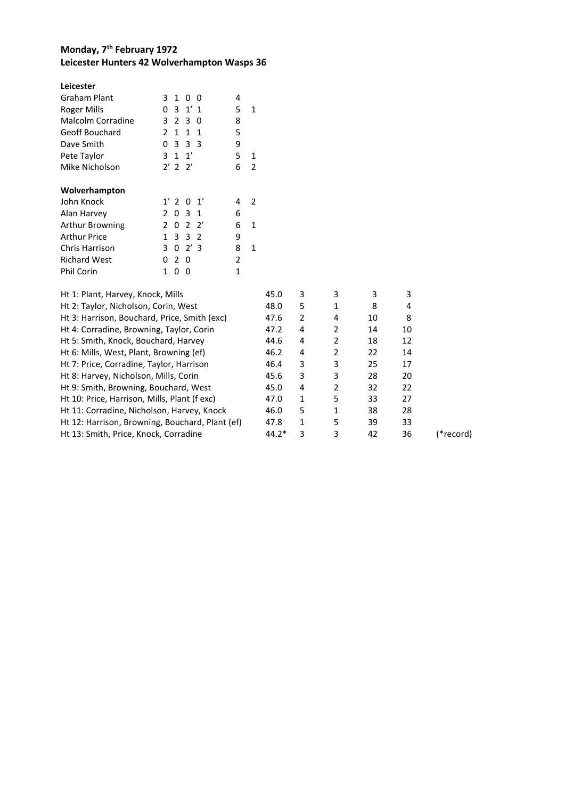## **Monday, 7 th February 1972 Leicester Hunters 42 Wolverhampton Wasps 36**

| Leicester                                       |                |                |                |              |                |              |       |                |                |    |    |           |
|-------------------------------------------------|----------------|----------------|----------------|--------------|----------------|--------------|-------|----------------|----------------|----|----|-----------|
| <b>Graham Plant</b>                             | 3              | $\mathbf{1}$   | $\mathbf{0}$   | 0            | 4              |              |       |                |                |    |    |           |
| <b>Roger Mills</b>                              | 0              | 3              | $1'$ 1         |              | 5              | $\mathbf{1}$ |       |                |                |    |    |           |
| Malcolm Corradine                               | 3              | 2              | $\overline{3}$ | 0            | 8              |              |       |                |                |    |    |           |
| Geoff Bouchard                                  | $\mathbf{2}$   | 1              | $\mathbf{1}$   | 1            | 5              |              |       |                |                |    |    |           |
| Dave Smith                                      | 0              | 3              | 3              | - 3          | 9              |              |       |                |                |    |    |           |
| Pete Taylor                                     | 3              | $\mathbf{1}$   | 1'             |              | 5              | 1            |       |                |                |    |    |           |
| Mike Nicholson                                  |                | $2'$ 2 $2'$    |                |              | 6              | 2            |       |                |                |    |    |           |
| Wolverhampton                                   |                |                |                |              |                |              |       |                |                |    |    |           |
| John Knock                                      |                | $1'$ 2 0       |                | 1'           | 4              | 2            |       |                |                |    |    |           |
| Alan Harvey                                     | $2^{\circ}$    | 0              | 3              | 1            | 6              |              |       |                |                |    |    |           |
| Arthur Browning                                 | $\overline{2}$ | 0              | 2              | $2^{\prime}$ | 6              | 1            |       |                |                |    |    |           |
| <b>Arthur Price</b>                             | $\mathbf{1}$   | 3              | $\overline{3}$ | 2            | 9              |              |       |                |                |    |    |           |
| Chris Harrison                                  | 3              |                | $0 \t2' \t3$   |              | 8              | $\mathbf{1}$ |       |                |                |    |    |           |
| <b>Richard West</b>                             | 0              | 2 <sub>0</sub> |                |              | $\overline{2}$ |              |       |                |                |    |    |           |
| Phil Corin                                      | $\mathbf{1}$   | 0 <sub>0</sub> |                |              | 1              |              |       |                |                |    |    |           |
| Ht 1: Plant, Harvey, Knock, Mills               |                |                |                |              |                |              | 45.0  | 3              | 3              | 3  | 3  |           |
| Ht 2: Taylor, Nicholson, Corin, West            |                |                |                |              |                |              | 48.0  | 5              | 1              | 8  | 4  |           |
| Ht 3: Harrison, Bouchard, Price, Smith (exc)    |                |                |                |              |                |              | 47.6  | 2              | 4              | 10 | 8  |           |
| Ht 4: Corradine, Browning, Taylor, Corin        |                |                |                |              |                |              | 47.2  | 4              | $\overline{2}$ | 14 | 10 |           |
| Ht 5: Smith, Knock, Bouchard, Harvey            |                |                |                |              |                |              | 44.6  | 4              | 2              | 18 | 12 |           |
| Ht 6: Mills, West, Plant, Browning (ef)         |                |                |                |              |                |              | 46.2  | 4              | $\overline{2}$ | 22 | 14 |           |
| Ht 7: Price, Corradine, Taylor, Harrison        |                |                |                |              |                |              | 46.4  | 3              | 3              | 25 | 17 |           |
| Ht 8: Harvey, Nicholson, Mills, Corin           |                |                |                |              |                |              | 45.6  | 3              | 3              | 28 | 20 |           |
| Ht 9: Smith, Browning, Bouchard, West           |                |                |                |              |                |              | 45.0  | $\overline{4}$ | $\overline{2}$ | 32 | 22 |           |
| Ht 10: Price, Harrison, Mills, Plant (f exc)    |                |                |                |              |                |              | 47.0  | 1              | 5              | 33 | 27 |           |
| Ht 11: Corradine, Nicholson, Harvey, Knock      |                |                |                |              |                |              | 46.0  | 5              | 1              | 38 | 28 |           |
| Ht 12: Harrison, Browning, Bouchard, Plant (ef) |                |                |                |              |                |              | 47.8  | 1              | 5              | 39 | 33 |           |
| Ht 13: Smith, Price, Knock, Corradine           |                |                |                |              |                |              | 44.2* | 3              | 3              | 42 | 36 | (*record) |